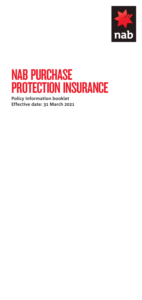

# NAB PURCHASE PROTECTION INSURANCE

**Policy information booklet Effective date: 31 March 2021**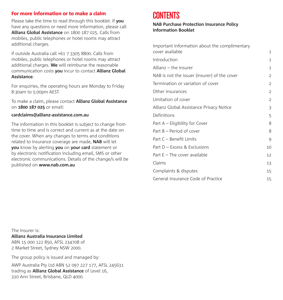### For more information or to make a claim

Please take the time to read through this booklet. If **you** have any questions or need more information, please call **Allianz Global Assistance** on 1800 187 025. Calls from mobiles, public telephones or hotel rooms may attract additional charges.

If outside Australia call +61 7 3305 8800. Calls from mobiles, public telephones or hotel rooms may attract additional charges. **We** will reimburse the reasonable communication costs **you** incur to contact **Allianz Global Assistance**.

For enquiries, the operating hours are Monday to Friday 8:30am to 5:00pm AEST.

To make a claim, please contact **Allianz Global Assistance** on **1800 187 025** or email:

#### **[cardclaims@allianz-assistance.com.au](mailto:cardclaims@allianz-assistance.com.au)**

The information in this booklet is subject to change from time to time and is correct and current as at the date on the cover. When any changes to terms and conditions related to insurance coverage are made, **NAB** will let **you** know by alerting **you** on **your card** statement or by electronic notification including email, SMS or other electronic communications. Details of the change/s will be published on **[www.nab.com.au](http://www.nab.com.au)**

# CONTENTS

#### **NAB Purchase Protection Insurance Policy Information Booklet**

| Important Information about the complimentary<br>cover available | 1              |
|------------------------------------------------------------------|----------------|
| Introduction                                                     | 1              |
| Allianz – the insurer                                            | 1              |
| NAB is not the issuer (insurer) of the cover                     | $\overline{2}$ |
| Termination or variation of cover                                | $\overline{2}$ |
| Other insurances                                                 | $\overline{2}$ |
| Limitation of cover                                              | $\overline{2}$ |
| Allianz Global Assistance Privacy Notice                         | 3              |
| Definitions                                                      | 5              |
| Part A - Eligibility for Cover                                   | 8              |
| Part B – Period of cover                                         | 8              |
| Part C - Benefit Limits                                          | 9              |
| Part D – Excess & Exclusions                                     | 10             |
| Part $E$ – The cover available                                   | 12             |
| Claims                                                           | 13             |
| Complaints & disputes                                            | 15             |
| General Insurance Code of Practice                               | 15             |

The Insurer is:

**Allianz Australia Insurance Limited** ABN 15 000 122 850, AFSL 234708 of 2 Market Street, Sydney NSW 2000.

The group policy is issued and managed by:

AWP Australia Pty Ltd ABN 52 097 227 177, AFSL 245631 trading as **Allianz Global Assistance** of Level 16, 310 Ann Street, Brisbane, QLD 4000.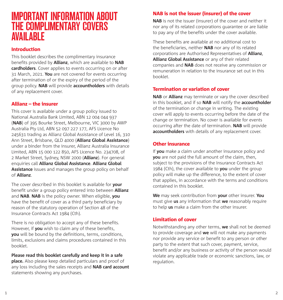# IMPORTANT INFORMATION ABOUT THE COMPLIMENTARY COVERS AVAILABLE

### Introduction

This booklet describes the complimentary insurance benefits provided by **Allianz**, which are available to **NAB cardholders**. Cover applies to events occurring on or after 31 March, 2021. **You** are not covered for events occurring after termination of or the expiry of the period of the group policy. **NAB** will provide **accountholders** with details of any replacement cover.

### Allianz – the insurer

This cover is available under a group policy issued to National Australia Bank Limited, ABN 12 004 044 937 (**NAB**) of 395 Bourke Street, Melbourne, VIC 3000 by AWP Australia Pty Ltd, ABN 52 097 227 177, AFS Licence No 245631 trading as Allianz Global Assistance of Level 16, 310 Ann Street, Brisbane, QLD 4000 (**Allianz Global Assistance**) under a binder from the insurer, Allianz Australia Insurance Limited, ABN 15 000 122 850, AFS Licence No. 234708, of 2 Market Street, Sydney, NSW 2000 (**Allianz**). For general enquiries call **Allianz Global Assistance**. **Allianz Global Assistance** issues and manages the group policy on behalf of **Allianz**.

The cover described in this booklet is available for **your** benefit under a group policy entered into between **Allianz** and **NAB**. **NAB** is the policy owner. When eligible, **you** have the benefit of cover as a third party beneficiary by reason of the statutory operation of Section 48 of the Insurance Contracts Act 1984 (Cth).

There is no obligation to accept any of these benefits. However, if **you** wish to claim any of these benefits, **you** will be bound by the definitions, terms, conditions, limits, exclusions and claims procedures contained in this booklet.

**Please read this booklet carefully and keep it in a safe place.** Also please keep detailed particulars and proof of any loss including the sales receipts and **NAB card account** statements showing any purchases.

### NAB is not the issuer (insurer) of the cover

**NAB** is not the issuer (insurer) of the cover and neither it nor any of its related corporations guarantee or are liable to pay any of the benefits under the cover available.

These benefits are available at no additional cost to the beneficiaries, neither **NAB** nor any of its related corporations are Authorised Representatives of **Allianz**, **Allianz Global Assistance** or any of their related companies and **NAB** does not receive any commission or remuneration in relation to the insurance set out in this booklet.

### Termination or variation of cover

**NAB** or **Allianz** may terminate or vary the cover described in this booklet, and if so **NAB** will notify the **accountholder** of the termination or change in writing. The existing cover will apply to events occurring before the date of the change or termination. No cover is available for events occurring after the date of termination. **NAB** will provide **accountholders** with details of any replacement cover.

#### Other insurance

If **you** make a claim under another insurance policy and **you** are not paid the full amount of the claim, then, subject to the provisions of the Insurance Contracts Act 1984 (Cth), the cover available to **you** under the group policy will make up the difference, to the extent of cover that applies, in accordance with the terms and conditions contained in this booklet.

**We** may seek contribution from **your** other insurer. **You** must give **us** any information that **we** reasonably require to help **us** make a claim from the other insurer.

#### Limitation of cover

Notwithstanding any other terms, **we** shall not be deemed to provide coverage and **we** will not make any payments nor provide any service or benefit to any person or other party to the extent that such cover, payment, service, benefit and/or any business or activity of the person would violate any applicable trade or economic sanctions, law, or regulation.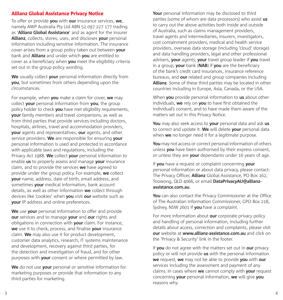#### Allianz Global Assistance Privacy Notice

To offer or provide **you** with **our** insurance services, **we**, namely AWP Australia Pty Ltd ABN 52 097 227 177 trading as '**Allianz Global Assistance**' and as agent for the insurer **Allianz**, collects, stores, uses, and discloses **your** personal information including sensitive information. The insurance cover arises from a group policy taken out between **your**  bank and **Allianz** and under which **you** are entitled to cover as a beneficiary when **you** meet the eligibility criteria set out in the group policy wording.

**We** usually collect **your** personal information directly from **you**, but sometimes from others depending upon the circumstances.

For example, when **you** make a claim for cover, **we** may collect **your** personal information from **you**, the group policy holder to check **you** have met eligibility requirements, **your** family members and travel companions, as well as from third parties that provide services including doctors, hospitals, airlines, travel and accommodation providers, **your** agents and representatives, **our** agents, and other service providers. **We** are responsible for ensuring **your**  personal information is used and protected in accordance with applicable laws and regulations, including the Privacy Act 1988. **We** collect **your** personal information to enable **us** to properly assess and manage **your** insurance claim, and to provide the services **we** have agreed to provide under the group policy. For example, **we** collect **your** name, address, date of birth, email address, and sometimes **your** medical information, bank account details, as well as other information **we** collect through devices like 'cookies' when **you** visit **our** website such as **your** IP address and online preferences.

**We** use **your** personal information to offer and provide **our** services and to manage **your** and **our** rights and obligations in connection with **your** claim. For instance, **we** use it to check, process, and finalise **your** insurance claim. **We** may also use it for product development, customer data analytics, research, IT systems maintenance and development, recovery against third parties, for the detection and investigation of fraud, and for other purposes with **your** consent or where permitted by law.

**We** do not use **your** personal or sensitive information for marketing purposes or provide that information to any third parties for marketing.

**Your** personal information may be disclosed to third parties (some of whom are data processors) who assist **us** to carry out the above activities both inside and outside of Australia, such as claims management providers, travel agents and intermediaries, insurers, investigators, cost containment providers, medical and health service providers, overseas data storage (including 'cloud' storage) and data handling providers, legal and other professional advisers, **your** agents, **your** travel group leader if **you** travel in a group, **your** bank (**NAB**) if **you** are the beneficiary of the bank's credit card insurances, insurance reference bureaux, and **our** related and group companies including **Allianz**. Some of these third parties may be located in other countries including in Europe, Asia, Canada, or the USA.

When **you** provide personal information to **us** about other individuals, **we** rely on **you** to have first obtained the individual's consent, and to have made them aware of the matters set out in this Privacy Notice.

**You** may also seek access to **your** personal data and ask **us** to correct and update it. **We** will delete **your** personal data when **we** no longer need it for a legitimate purpose.

**You** may not access or correct personal information of others unless **you** have been authorised by their express consent, or unless they are **your** dependants under 16 years of age.

If **you** have a request or complaint concerning **your**  personal information or about data privacy, please contact: The Privacy Officer, **Allianz** Global Assistance, PO Box 162, Toowong, QLD 4066, or email **[DataPrivacyAU@allianz](mailto:DataPrivacyAU@allianz-assistance.com.au)[assistance.com.au](mailto:DataPrivacyAU@allianz-assistance.com.au)**.

**You** can also contact the Privacy Commissioner at the Office of The Australian Information Commissioner, GPO Box 218, Sydney, NSW 2601 if **you** have a complaint.

For more information about **our** corporate privacy policy and handling of personal information, including further details about access, correction and complaints, please visit **our** website at **[www.allianz-assistance.com.au](http://www.allianz-assistance.com.au)** and click on the 'Privacy & Security' link in the footer.

If **you** do not agree with the matters set out in **our** privacy policy or will not provide **us** with the personal information **we** request, **we** may not be able to provide **you** with **our**  services including the assessment and payment of any claims. In cases where **we** cannot comply with **your** request concerning **your** personal information, **we** will give **you**  reasons why.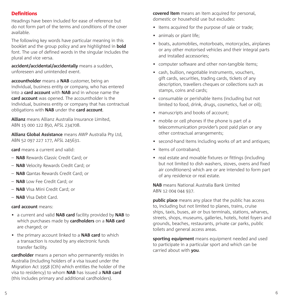## **Definitions**

Headings have been included for ease of reference but do not form part of the terms and conditions of the cover available.

The following key words have particular meaning in this booklet and the group policy and are highlighted in **bold** font. The use of defined words in the singular includes the plural and vice versa.

**accident/accidental/accidentally** means a sudden, unforeseen and unintended event.

**accountholder** means a **NAB** customer, being an individual, business entity or company, who has entered into a **card account** with **NAB** and in whose name the **card account** was opened. The accountholder is the individual, business entity or company that has contractual obligations with **NAB** under the **card account**.

**Allianz** means Allianz Australia Insurance Limited, ABN 15 000 122 850, AFSL 234708.

**Allianz Global Assistance** means AWP Australia Pty Ltd, ABN 52 097 227 177, AFSL 245631.

**card** means a current and valid:

- **NAB** Rewards Classic Credit Card; or
- **NAB** Velocity Rewards Credit Card; or
- **NAB** Qantas Rewards Credit Card; or
- **NAB** Low Fee Credit Card; or
- **NAB** Visa Mini Credit Card; or
- **NAB** Visa Debit Card.

#### **card account** means:

- a current and valid **NAB card** facility provided by **NAB** to which purchases made by **cardholders** on a **NAB card** are charged; or
- the primary account linked to a **NAB card** to which a transaction is routed by any electronic funds transfer facility.

**cardholder** means a person who permanently resides in Australia (including holders of a visa issued under the Migration Act 1958 (Cth) which entitles the holder of the visa to residency) to whom **NAB** has issued a **NAB card** (this includes primary and additional cardholders).

**covered item** means an item acquired for personal, domestic or household use but excludes:

- items acquired for the purpose of sale or trade;
- animals or plant life:
- boats, automobiles, motorboats, motorcycles, airplanes or any other motorised vehicles and their integral parts and installed accessories;
- computer software and other non-tangible items;
- cash, bullion, negotiable instruments, vouchers, gift cards, securities, trading cards, tickets of any description, travellers cheques or collections such as stamps, coins and cards;
- consumable or perishable items (including but not limited to food, drink, drugs, cosmetics, fuel or oil);
- manuscripts and books of account;
- mobile or cell phones if the phone is part of a telecommunication provider's post paid plan or any other contractual arrangements;
- second-hand items including works of art and antiques;
- items of contraband;
- real estate and movable fixtures or fittings (including but not limited to dish washers, stoves, ovens and fixed air conditioners) which are or are intended to form part of any residence or real estate.

**NAB** means National Australia Bank Limited ABN 12 004 044 937.

**public place** means any place that the public has access to, including but not limited to planes, trains, cruise ships, taxis, buses, air or bus terminals, stations, wharves, streets, shops, museums, galleries, hotels, hotel foyers and grounds, beaches, restaurants, private car parks, public toilets and general access areas.

**sporting equipment** means equipment needed and used to participate in a particular sport and which can be carried about with **you**.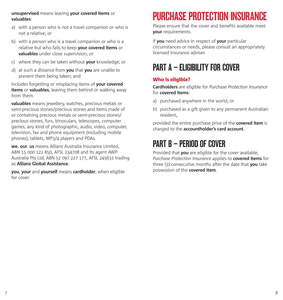#### **unsupervised** means leaving **your covered items** or **valuables**:

- a) with a person who is not a travel companion or who is not a relative; or
- b) with a person who is a travel companion or who is a relative but who fails to keep **your covered items** or **valuables** under close supervision; or
- c) where they can be taken without **your** knowledge; or
- d) at such a distance from **you** that **you** are unable to prevent them being taken; and

includes forgetting or misplacing items of **your covered items** or **valuables**, leaving them behind or walking away from them.

**valuables** means jewellery, watches, precious metals or semi-precious stones/precious stones and items made of or containing precious metals or semi-precious stones/ precious stones, furs, binoculars, telescopes, computer games, any kind of photographic, audio, video, computer, television, fax and phone equipment (including mobile phones), tablets, MP3/4 players and PDAs.

**we**, **our**, **us** means Allianz Australia Insurance Limited, ABN 15 000 122 850, AFSL 234708 and its agent AWP Australia Pty Ltd, ABN 52 097 227 177, AFSL 245631 trading as **Allianz Global Assistance**.

**you**, **your** and **yourself** means **cardholder**, when eligible for cover.

# PURCHASE PROTECTION INSURANCE

Please ensure that the cover and benefits available meet **your** requirements.

If **you** need advice in respect of **your** particular circumstances or needs, please consult an appropriately licensed insurance adviser.

# PART A – ELIGIBILITY FOR COVER

# Who is eligible?

**Cardholders** are eligible for *Purchase Protection Insurance* for **covered items**:

- a) purchased anywhere in the world; or
- b) purchased as a gift given to any permanent Australian resident,

provided the entire purchase price of the **covered item** is charged to the **accountholder's card account**.

# PART B – PERIOD OF COVER

Provided that **you** are eligible for the cover available, *Purchase Protection Insurance* applies to **covered items** for three (3) consecutive months after the date that **you** take possession of the **covered item**.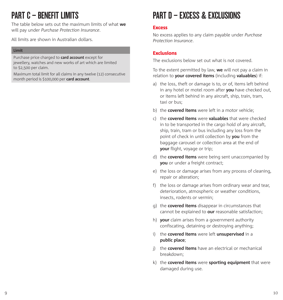# PART C - RENEFIT LIMITS

The table below sets out the maximum limits of what **we**  will pay under *Purchase Protection Insurance*.

All limits are shown in Australian dollars.

#### **Limit**

Purchase price charged to **card account** except for jewellery, watches and new works of art which are limited to \$2,500 per claim.

Maximum total limit for all claims in any twelve (12) consecutive month period is \$100,000 per **card account**.

# PART D - EXCESS & EXCLUSIONS

#### **Excess**

No excess applies to any claim payable under *Purchase Protection Insurance*.

## Exclusions

The exclusions below set out what is not covered.

To the extent permitted by law, **we** will not pay a claim in relation to **your covered items** (including **valuables**) if:

- a) the loss, theft or damage is to, or of, items left behind in any hotel or motel room after **you** have checked out, or items left behind in any aircraft, ship, train, tram, taxi or bus;
- b) the **covered items** were left in a motor vehicle;
- c) the **covered items** were **valuables** that were checked in to be transported in the cargo hold of any aircraft, ship, train, tram or bus including any loss from the point of check in until collection by **you** from the baggage carousel or collection area at the end of **your** flight, voyage or trip;
- d) the **covered items** were being sent unaccompanied by **you** or under a freight contract:
- e) the loss or damage arises from any process of cleaning, repair or alteration;
- f) the loss or damage arises from ordinary wear and tear, deterioration, atmospheric or weather conditions, insects, rodents or vermin;
- g) the **covered items** disappear in circumstances that cannot be explained to **our** reasonable satisfaction;
- h) **your** claim arises from a government authority confiscating, detaining or destroying anything;
- i) the **covered items** were left **unsupervised** in a **public place**;
- j) the **covered items** have an electrical or mechanical breakdown;
- k) the **covered items** were **sporting equipment** that were damaged during use.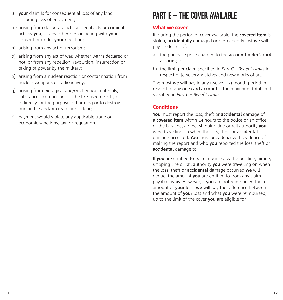- l) **your** claim is for consequential loss of any kind including loss of enjoyment;
- m) arising from deliberate acts or illegal acts or criminal acts by **you**, or any other person acting with **your** consent or under **your** direction;
- n) arising from any act of terrorism;
- o) arising from any act of war, whether war is declared or not, or from any rebellion, revolution, insurrection or taking of power by the military;
- p) arising from a nuclear reaction or contamination from nuclear weapons or radioactivity;
- q) arising from biological and/or chemical materials, substances, compounds or the like used directly or indirectly for the purpose of harming or to destroy human life and/or create public fear;
- r) payment would violate any applicable trade or economic sanctions, law or regulation.

# PART F – THE COVER AVAII ARI F

## What we cover

If, during the period of cover available, the **covered item** is stolen, **accidentally** damaged or permanently lost **we** will pay the lesser of:

- a) the purchase price charged to the **accountholder's card account**; or
- b) the limit per claim specified in *Part C Benefit Limits* in respect of jewellery, watches and new works of art.

The most **we** will pay in any twelve (12) month period in respect of any one **card account** is the maximum total limit specified in *Part C – Benefit Limits*.

# **Conditions**

**You** must report the loss, theft or **accidental** damage of a **covered item** within 24 hours to the police or an office of the bus line, airline, shipping line or rail authority **you** were travelling on when the loss, theft or **accidental** damage occurred. **You** must provide **us** with evidence of making the report and who **you** reported the loss, theft or **accidental** damage to.

If **you** are entitled to be reimbursed by the bus line, airline, shipping line or rail authority **you** were travelling on when the loss, theft or **accidental** damage occurred **we** will deduct the amount **you** are entitled to from any claim payable by **us**. However, if **you** are not reimbursed the full amount of **your** loss, **we** will pay the difference between the amount of **your** loss and what **you** were reimbursed, up to the limit of the cover **you** are eligible for.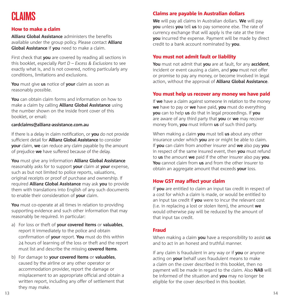# **CLAIMS**

### How to make a claim

**Allianz Global Assistance** administers the benefits available under the group policy. Please contact **Allianz Global Assistance** if **you** need to make a claim.

First check that **you** are covered by reading all sections in this booklet, especially *Part D – Excess & Exclusions* to see exactly what is, and is not covered, noting particularly any conditions, limitations and exclusions.

**You** must give **us** notice of **your** claim as soon as reasonably possible.

**You** can obtain claim forms and information on how to make a claim by calling **Allianz Global Assistance** using the number shown on the inside front cover of this booklet, or email:

#### **cardclaims@allianz-assistance.com.au**

If there is a delay in claim notification, or **you** do not provide sufficient detail for **Allianz Global Assistance** to consider **your** claim, **we** can reduce any claim payable by the amount of prejudice **we** have suffered because of the delay.

**You** must give any information **Allianz Global Assistance** reasonably asks for to support **your** claim at **your** expense, such as but not limited to police reports, valuations, original receipts or proof of purchase and ownership. If required **Allianz Global Assistance** may ask **you** to provide them with translations into English of any such documents to enable their consideration of **your** claim.

**You** must co-operate at all times in relation to providing supporting evidence and such other information that may reasonably be required. In particular:

- a) For loss or theft of **your covered items** or **valuables**, report it immediately to the police and obtain confirmation of **your** report. **You** must do this within 24 hours of learning of the loss or theft and the report must list and describe the missing **covered items**.
- b) For damage to **your covered items** or **valuables**, caused by the airline or any other operator or accommodation provider, report the damage or misplacement to an appropriate official and obtain a written report, including any offer of settlement that they may make.

# Claims are payable in Australian dollars

**We** will pay all claims in Australian dollars. **We** will pay **you** unless **you** tell **us** to pay someone else. The rate of currency exchange that will apply is the rate at the time **you** incurred the expense. Payment will be made by direct credit to a bank account nominated by **you**.

#### You must not admit fault or liability

**You** must not admit that **you** are at fault, for any **accident**, incident or event causing a claim, and **you** must not offer or promise to pay any money, or become involved in legal action, without the approval of **Allianz Global Assistance**.

#### You must help us recover any money we have paid

If **we** have a claim against someone in relation to the money **we** have to pay or **we** have paid, **you** must do everything **you** can to help **us** do that in legal proceedings. If **you** are aware of any third party that **you** or **we** may recover money from, **you** must inform **us** of such third party.

When making a claim **you** must tell **us** about any other insurance under which **you** are or might be able to claim. If **you** can claim from another insurer and **we** also pay **you** in respect of the same insured event, then **you** must refund to **us** the amount **we** paid if the other insurer also pay **you**. **You** cannot claim from **us** and from the other insurer to obtain an aggregate amount that exceeds **your** loss.

#### How GST may affect your claim

If **you** are entitled to claim an input tax credit in respect of a cost for which a claim is made, or would be entitled to an input tax credit if **you** were to incur the relevant cost (i.e. in replacing a lost or stolen item), the amount **we** would otherwise pay will be reduced by the amount of that input tax credit.

#### Fraud

When making a claim **you** have a responsibility to assist **us** and to act in an honest and truthful manner.

If any claim is fraudulent in any way or if **you** or anyone acting on **your** behalf uses fraudulent means to make a claim on the cover described in this booklet, then no payment will be made in regard to the claim. Also **NAB** will be informed of the situation and **you** may no longer be eligible for the cover described in this booklet.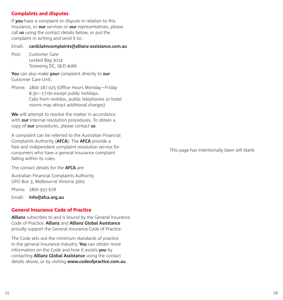## Complaints and disputes

If **you** have a complaint or dispute in relation to this insurance, or **our** services or **our** representatives, please call **us** using the contact details below, or put the complaint in writing and send it to:

#### Email: **[cardclaimcomplaints@allianz-assistance.com.au](mailto:cardclaimcomplaints@allianz-assistance.com.au)**

Post: Customer Care Locked Bag 3014 Toowong DC, QLD 4066

**You** can also make **your** complaint directly to **our** Customer Care Unit:

Phone: 1800 187 025 (Office Hours Monday–Friday 8:30–17:00 except public holidays. Calls from mobiles, public telephones or hotel rooms may attract additional charges)

**We** will attempt to resolve the matter in accordance with **our** internal resolution procedures. To obtain a copy of **our** procedures, please contact **us**.

A complaint can be referred to the Australian Financial Complaints Authority (**AFCA**). The **AFCA** provide a free and independent complaint resolution service for consumers who have a general insurance complaint falling within its rules.

The contact details for the **AFCA** are:

Australian Financial Complaints Authority GPO Box 3, Melbourne Victoria 3001

Phone: 1800 931 678

Email: **[info@afca.org.au](mailto:info@afca.org.au)**

### General Insurance Code of Practice

**Allianz** subscribes to and is bound by the General Insurance Code of Practice. **Allianz** and **Allianz Global Assistance** proudly support the General Insurance Code of Practice.

The Code sets out the minimum standards of practice in the general insurance industry. **You** can obtain more information on the Code and how it assists **you** by contacting **Allianz Global Assistance** using the contact details above, or by visiting **[www.codeofpractice.com.au](http://www.codeofpractice.com.au)**. This page has intentionally been left blank